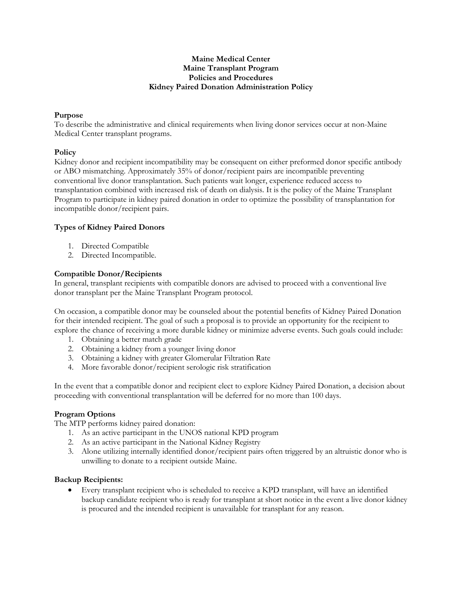#### **Maine Medical Center Maine Transplant Program Policies and Procedures Kidney Paired Donation Administration Policy**

#### **Purpose**

To describe the administrative and clinical requirements when living donor services occur at non-Maine Medical Center transplant programs.

#### **Policy**

Kidney donor and recipient incompatibility may be consequent on either preformed donor specific antibody or ABO mismatching. Approximately 35% of donor/recipient pairs are incompatible preventing conventional live donor transplantation. Such patients wait longer, experience reduced access to transplantation combined with increased risk of death on dialysis. It is the policy of the Maine Transplant Program to participate in kidney paired donation in order to optimize the possibility of transplantation for incompatible donor/recipient pairs.

## **Types of Kidney Paired Donors**

- 1. Directed Compatible
- 2. Directed Incompatible.

## **Compatible Donor/Recipients**

In general, transplant recipients with compatible donors are advised to proceed with a conventional live donor transplant per the Maine Transplant Program protocol.

On occasion, a compatible donor may be counseled about the potential benefits of Kidney Paired Donation for their intended recipient. The goal of such a proposal is to provide an opportunity for the recipient to explore the chance of receiving a more durable kidney or minimize adverse events. Such goals could include:

- 1. Obtaining a better match grade
- 2. Obtaining a kidney from a younger living donor
- 3. Obtaining a kidney with greater Glomerular Filtration Rate
- 4. More favorable donor/recipient serologic risk stratification

In the event that a compatible donor and recipient elect to explore Kidney Paired Donation, a decision about proceeding with conventional transplantation will be deferred for no more than 100 days.

#### **Program Options**

The MTP performs kidney paired donation:

- 1. As an active participant in the UNOS national KPD program
- 2. As an active participant in the National Kidney Registry
- 3. Alone utilizing internally identified donor/recipient pairs often triggered by an altruistic donor who is unwilling to donate to a recipient outside Maine.

## **Backup Recipients:**

 Every transplant recipient who is scheduled to receive a KPD transplant, will have an identified backup candidate recipient who is ready for transplant at short notice in the event a live donor kidney is procured and the intended recipient is unavailable for transplant for any reason.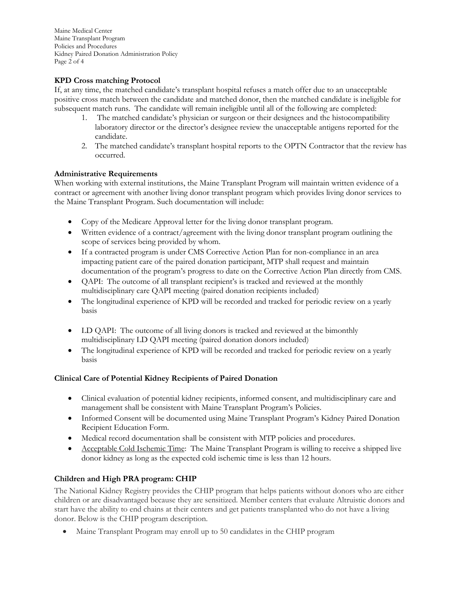Maine Medical Center Maine Transplant Program Policies and Procedures Kidney Paired Donation Administration Policy Page 2 of 4

# **KPD Cross matching Protocol**

If, at any time, the matched candidate's transplant hospital refuses a match offer due to an unacceptable positive cross match between the candidate and matched donor, then the matched candidate is ineligible for subsequent match runs. The candidate will remain ineligible until all of the following are completed:

- 1. The matched candidate's physician or surgeon or their designees and the histocompatibility laboratory director or the director's designee review the unacceptable antigens reported for the candidate.
- 2. The matched candidate's transplant hospital reports to the OPTN Contractor that the review has occurred.

## **Administrative Requirements**

When working with external institutions, the Maine Transplant Program will maintain written evidence of a contract or agreement with another living donor transplant program which provides living donor services to the Maine Transplant Program. Such documentation will include:

- Copy of the Medicare Approval letter for the living donor transplant program.
- Written evidence of a contract/agreement with the living donor transplant program outlining the scope of services being provided by whom.
- If a contracted program is under CMS Corrective Action Plan for non-compliance in an area impacting patient care of the paired donation participant, MTP shall request and maintain documentation of the program's progress to date on the Corrective Action Plan directly from CMS.
- QAPI: The outcome of all transplant recipient's is tracked and reviewed at the monthly multidisciplinary care QAPI meeting (paired donation recipients included)
- The longitudinal experience of KPD will be recorded and tracked for periodic review on a yearly basis
- LD QAPI: The outcome of all living donors is tracked and reviewed at the bimonthly multidisciplinary LD QAPI meeting (paired donation donors included)
- The longitudinal experience of KPD will be recorded and tracked for periodic review on a yearly basis

## **Clinical Care of Potential Kidney Recipients of Paired Donation**

- Clinical evaluation of potential kidney recipients, informed consent, and multidisciplinary care and management shall be consistent with Maine Transplant Program's Policies.
- Informed Consent will be documented using Maine Transplant Program's Kidney Paired Donation Recipient Education Form.
- Medical record documentation shall be consistent with MTP policies and procedures.
- Acceptable Cold Ischemic Time: The Maine Transplant Program is willing to receive a shipped live donor kidney as long as the expected cold ischemic time is less than 12 hours.

# **Children and High PRA program: CHIP**

The National Kidney Registry provides the CHIP program that helps patients without donors who are either children or are disadvantaged because they are sensitized. Member centers that evaluate Altruistic donors and start have the ability to end chains at their centers and get patients transplanted who do not have a living donor. Below is the CHIP program description.

Maine Transplant Program may enroll up to 50 candidates in the CHIP program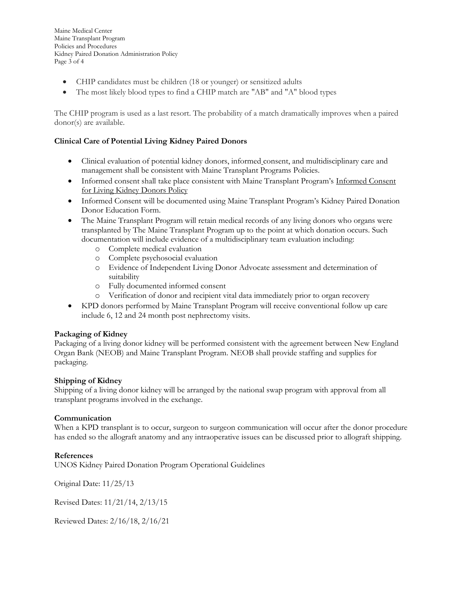Maine Medical Center Maine Transplant Program Policies and Procedures Kidney Paired Donation Administration Policy Page 3 of 4

- CHIP candidates must be children (18 or younger) or sensitized adults
- The most likely blood types to find a CHIP match are "AB" and "A" blood types

The CHIP program is used as a last resort. The probability of a match dramatically improves when a paired donor(s) are available.

# **Clinical Care of Potential Living Kidney Paired Donors**

- Clinical evaluation of potential kidney donors, informed consent, and multidisciplinary care and management shall be consistent with Maine Transplant Programs Policies.
- Informed consent shall take place consistent with Maine Transplant Program's Informed Consent for Living Kidney Donors Policy
- Informed Consent will be documented using Maine Transplant Program's Kidney Paired Donation Donor Education Form.
- The Maine Transplant Program will retain medical records of any living donors who organs were transplanted by The Maine Transplant Program up to the point at which donation occurs. Such documentation will include evidence of a multidisciplinary team evaluation including:
	- o Complete medical evaluation
	- o Complete psychosocial evaluation
	- o Evidence of Independent Living Donor Advocate assessment and determination of suitability
	- o Fully documented informed consent
	- o Verification of donor and recipient vital data immediately prior to organ recovery
- KPD donors performed by Maine Transplant Program will receive conventional follow up care include 6, 12 and 24 month post nephrectomy visits.

## **Packaging of Kidney**

Packaging of a living donor kidney will be performed consistent with the agreement between New England Organ Bank (NEOB) and Maine Transplant Program. NEOB shall provide staffing and supplies for packaging.

## **Shipping of Kidney**

Shipping of a living donor kidney will be arranged by the national swap program with approval from all transplant programs involved in the exchange.

#### **Communication**

When a KPD transplant is to occur, surgeon to surgeon communication will occur after the donor procedure has ended so the allograft anatomy and any intraoperative issues can be discussed prior to allograft shipping.

## **References**

UNOS Kidney Paired Donation Program Operational Guidelines

Original Date: 11/25/13

Revised Dates: 11/21/14, 2/13/15

Reviewed Dates: 2/16/18, 2/16/21